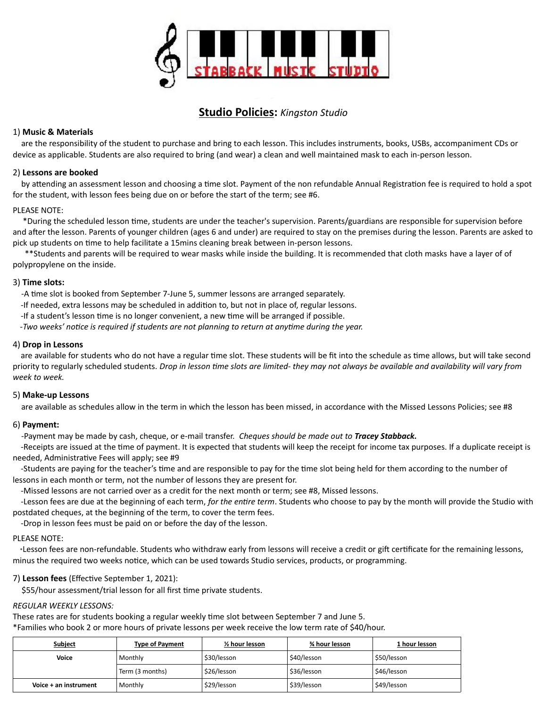

# **Studio Policies:** *Kingston Studio*

## 1) **Music & Materials**

 are the responsibility of the student to purchase and bring to each lesson. This includes instruments, books, USBs, accompaniment CDs or device as applicable. Students are also required to bring (and wear) a clean and well maintained mask to each in-person lesson.

### 2) **Lessons are booked**

 by attending an assessment lesson and choosing a time slot. Payment of the non refundable Annual Registration fee is required to hold a spot for the student, with lesson fees being due on or before the start of the term; see #6.

### PLEASE NOTE:

 \*During the scheduled lesson time, students are under the teacher's supervision. Parents/guardians are responsible for supervision before and after the lesson. Parents of younger children (ages 6 and under) are required to stay on the premises during the lesson. Parents are asked to pick up students on time to help facilitate a 15mins cleaning break between in-person lessons.

 \*\*Students and parents will be required to wear masks while inside the building. It is recommended that cloth masks have a layer of of polypropylene on the inside.

### 3) **Time slots:**

-A time slot is booked from September 7-June 5, summer lessons are arranged separately.

- -If needed, extra lessons may be scheduled in addition to, but not in place of, regular lessons.
- -If a student's lesson time is no longer convenient, a new time will be arranged if possible.

-*Two weeks' notice is required if students are not planning to return at anytime during the year.* 

### 4) **Drop in Lessons**

 are available for students who do not have a regular time slot. These students will be fit into the schedule as time allows, but will take second priority to regularly scheduled students. *Drop in lesson time slots are limited- they may not always be available and availability will vary from week to week.*

### 5) **Make-up Lessons**

are available as schedules allow in the term in which the lesson has been missed, in accordance with the Missed Lessons Policies; see #8

# 6) **Payment:**

-Payment may be made by cash, cheque, or e-mail transfer. *Cheques should be made out to Tracey Stabback.*

 -Receipts are issued at the time of payment. It is expected that students will keep the receipt for income tax purposes. If a duplicate receipt is needed, Administrative Fees will apply; see #9

 -Students are paying for the teacher's time and are responsible to pay for the time slot being held for them according to the number of lessons in each month or term, not the number of lessons they are present for.

-Missed lessons are not carried over as a credit for the next month or term; see #8, Missed lessons.

 -Lesson fees are due at the beginning of each term, *for the entire term*. Students who choose to pay by the month will provide the Studio with postdated cheques, at the beginning of the term, to cover the term fees.

-Drop in lesson fees must be paid on or before the day of the lesson.

### PLEASE NOTE:

 \*Lesson fees are non-refundable. Students who withdraw early from lessons will receive a credit or gift certificate for the remaining lessons, minus the required two weeks notice, which can be used towards Studio services, products, or programming.

# 7) **Lesson fees** (Effective September 1, 2021):

\$55/hour assessment/trial lesson for all first time private students.

### *REGULAR WEEKLY LESSONS:*

These rates are for students booking a regular weekly time slot between September 7 and June 5.

\*Families who book 2 or more hours of private lessons per week receive the low term rate of \$40/hour.

| Subject               | <b>Type of Payment</b> | $\frac{1}{2}$ hour lesson | ¾ hour lesson | 1 hour lesson |
|-----------------------|------------------------|---------------------------|---------------|---------------|
| Voice                 | Monthly                | \$30/lesson               | \$40/lesson   | \$50/lesson   |
|                       | Term (3 months)        | \$26/lesson               | \$36/lesson   | \$46/lesson   |
| Voice + an instrument | Monthly                | \$29/lesson               | \$39/lesson   | \$49/lesson   |